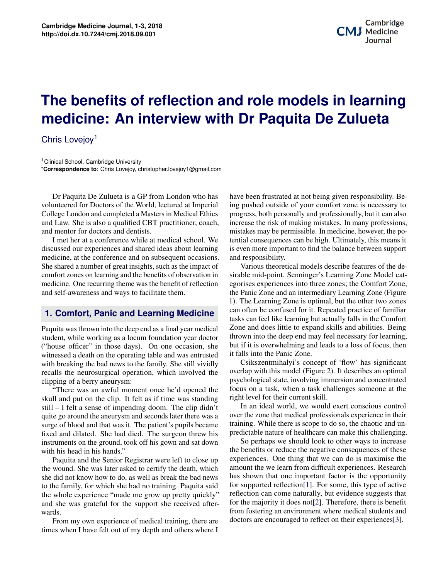# **potential approximation**<br>Potential approximation of the models in learning **Bioprinting in Regenerative Medicine medicine: An interview with Dr Paquita De Zulueta The benefits of reflection and role models in learning**

Chris Lovejoy<sup>1</sup>

<sup>1</sup> Clinical School, Cambridge University \***Correspondence to**: Chris Lovejoy, christopher.lovejoy1@gmail.com

Dr Paquita De Zulueta is a GP from London who has volunteered for Doctors of the World, lectured at Imperial College London and completed a Masters in Medical Ethics and Law. She is also a qualified CBT practitioner, coach, and mentor for doctors and dentists.

I met her at a conference while at medical school. We discussed our experiences and shared ideas about learning medicine, at the conference and on subsequent occasions. She shared a number of great insights, such as the impact of comfort zones on learning and the benefits of observation in medicine. One recurring theme was the benefit of reflection and self-awareness and ways to facilitate them.

## **1. Comfort, Panic and Learning Medicine**

Paquita was thrown into the deep end as a final year medical student, while working as a locum foundation year doctor ("house officer" in those days). On one occasion, she witnessed a death on the operating table and was entrusted with breaking the bad news to the family. She still vividly recalls the neurosurgical operation, which involved the clipping of a berry aneurysm:

It are and diffused. Site had died. The surgeon timew instruments on the ground, took off his gown and sat down "There was an awful moment once he'd opened the skull and put on the clip. It felt as if time was standing still – I felt a sense of impending doom. The clip didn't quite go around the aneurysm and seconds later there was a surge of blood and that was it. The patient's pupils became fixed and dilated. She had died. The surgeon threw his with his head in his hands."

**11 1 B 12 IM 11 IM 11 IB 11 IM IB 11 IB IB IB IB IB IB IB IB IB IB IB IB IB IB IB IB IB IB IB IB IB** the wound. She was later asked to certify the death, which **3 Principles of Application/Methods of Bioprinting 2** to the family, for which she had no training. Paquita said the whole experience "made me grow up pretty quickly" and she was grateful for the support she received after-<br>wards she did not know how to do, as well as break the bad news wards.

From my own experience of medical training, there are times when I have felt out of my depth and others where I process spaces spaces spaces spaces spaces that the term is the term in contemporary in contemporary  $\mathbf{I}$ .

Potential applications of the potential applications of the potential applications of the three-dimensional containing the state of the state of the state of the state of the state of the state of the state of the state of have been frustrated at not being given responsibility. Being pushed outside of your comfort zone is necessary to progress, both personally and professionally, but it can also increase the risk of making mistakes. In many professions, mistakes may be permissible. In medicine, however, the potential consequences can be high. Ultimately, this means it is even more important to find the balance between support and responsibility.

 $\frac{1}{2}$  cat-Various theoretical models describe features of the desirable mid-point. Senninger's Learning Zone Model categorises experiences into three zones; the Comfort Zone, the Panic Zone and an intermediary Learning Zone (Figure 1). The Learning Zone is optimal, but the other two zones can often be confused for it. Repeated practice of familiar tasks can feel like learning but actually falls in the Comfort Zone and does little to expand skills and abilities. Being thrown into the deep end may feel necessary for learning, but if it is overwhelming and leads to a loss of focus, then it falls into the Panic Zone.

focus on a task, when a task challenges someone at the right level for their current skill Csikszentmihalyi's concept of 'flow' has significant overlap with this model (Figure 2). It describes an optimal psychological state, involving immersion and concentrated right level for their current skill.

over the zone that medical professionals experience in their rel and Charles Lindbergh published "*The Culture of Organs*" in 1938, which predictable nature of healthcare can make this challenging. In an ideal world, we would exert conscious control training. While there is scope to do so, the chaotic and un-

described the equipment and methods which methods which made the *in vitro* methods which made the *in vitro* mate of the *in vitro* mate the *in vitro* mate. bose up experiences. One thing that we can do is maximise the meult experiences. Research<br>ant factor is the opportunity a said for supported reflection[\[1\]](#page-2-0). For some, this type of active  $\frac{1}{\sqrt{2}}$  $\frac{1}{\text{c}k}$  reflection can come naturally, but evidence suggests that after-<br>for the majority it does not [\[2\]](#page-2-1). Therefore, there is benefit after- $\frac{1}{2}$  of the majority it does not  $\lfloor z \rfloor$ . Therefore, there is believe from fostering an environment where medical students and  $\text{heter}$  of the property separate space space space space space space space space space space space space space space space space space space space space space space space space space space space space space space space s <sup>2</sup> Eucleand Matter of neatlicate can make this enancinging<br>
down So perhaps we should look to other ways to increase the benefits or reduce the negative consequences of these which amount the we learn from difficult experiences. Research I news has shown that one important factor is the opportunity  $\text{trace}$  doctors are encouraged to reflect on their experiences[\[3\]](#page-2-2). reflection can come naturally, but evidence suggests that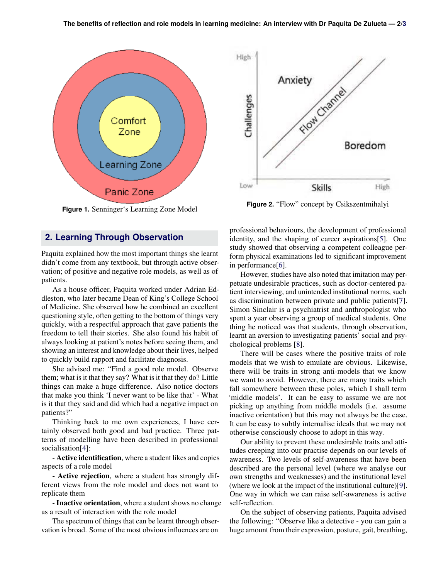

**Figure 1.** Senninger's Learning Zone Model

#### **2. Learning Through Observation**

Paquita explained how the most important things she learnt didn't come from any textbook, but through active observation; of positive and negative role models, as well as of patients.

As a house officer, Paquita worked under Adrian Eddleston, who later became Dean of King's College School of Medicine. She observed how he combined an excellent questioning style, often getting to the bottom of things very quickly, with a respectful approach that gave patients the freedom to tell their stories. She also found his habit of always looking at patient's notes before seeing them, and showing an interest and knowledge about their lives, helped to quickly build rapport and facilitate diagnosis.

She advised me: "Find a good role model. Observe them; what is it that they say? What is it that they do? Little things can make a huge difference. Also notice doctors that make you think 'I never want to be like that' - What is it that they said and did which had a negative impact on patients?"

Thinking back to me own experiences, I have certainly observed both good and bad practice. Three patterns of modelling have been described in professional socialisation[\[4\]](#page-2-4):

- Active identification, where a student likes and copies aspects of a role model

- Active rejection, where a student has strongly different views from the role model and does not want to replicate them

- **Inactive orientation**, where a student shows no change as a result of interaction with the role model

The spectrum of things that can be learnt through observation is broad. Some of the most obvious influences are on



**Figure 2.** "Flow" concept by Csikszentmihalyi

professional behaviours, the development of professional identity, and the shaping of career aspirations[\[5\]](#page-2-5). One study showed that observing a competent colleague perform physical examinations led to significant improvement in performance[\[6\]](#page-2-6).

However, studies have also noted that imitation may perpetuate undesirable practices, such as doctor-centered patient interviewing, and unintended institutional norms, such as discrimination between private and public patients[\[7\]](#page-2-7). Simon Sinclair is a psychiatrist and anthropologist who spent a year observing a group of medical students. One thing he noticed was that students, through observation, learnt an aversion to investigating patients' social and psychological problems [\[8\]](#page-2-8).

There will be cases where the positive traits of role models that we wish to emulate are obvious. Likewise, there will be traits in strong anti-models that we know we want to avoid. However, there are many traits which fall somewhere between these poles, which I shall term 'middle models'. It can be easy to assume we are not picking up anything from middle models (i.e. assume inactive orientation) but this may not always be the case. It can be easy to subtly internalise ideals that we may not otherwise consciously choose to adopt in this way.

Our ability to prevent these undesirable traits and attitudes creeping into our practise depends on our levels of awareness. Two levels of self-awareness that have been described are the personal level (where we analyse our own strengths and weaknesses) and the institutional level (where we look at the impact of the institutional culture)[\[9\]](#page-2-9). One way in which we can raise self-awareness is active self-reflection.

On the subject of observing patients, Paquita advised the following: "Observe like a detective - you can gain a huge amount from their expression, posture, gait, breathing,